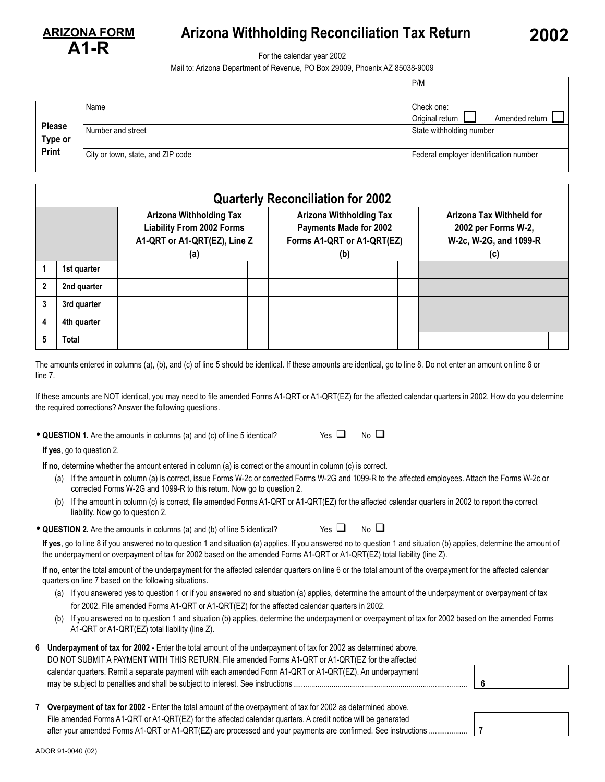

## **Arizona Withholding Reconciliation Tax Return 2002**

For the calendar year 2002

Mail to: Arizona Department of Revenue, PO Box 29009, Phoenix AZ 85038-9009

|                          |                                   | P/M                                             |  |  |
|--------------------------|-----------------------------------|-------------------------------------------------|--|--|
|                          | Name                              | Check one:<br>Original return<br>Amended return |  |  |
| <b>Please</b><br>Type or | Number and street                 | State withholding number                        |  |  |
| Print                    | City or town, state, and ZIP code | Federal employer identification number          |  |  |

|              | <b>Quarterly Reconciliation for 2002</b> |                                                                                                    |                                                                                                      |  |                                                                                  |  |  |
|--------------|------------------------------------------|----------------------------------------------------------------------------------------------------|------------------------------------------------------------------------------------------------------|--|----------------------------------------------------------------------------------|--|--|
| (a)          |                                          | <b>Arizona Withholding Tax</b><br><b>Liability From 2002 Forms</b><br>A1-QRT or A1-QRT(EZ), Line Z | <b>Arizona Withholding Tax</b><br><b>Payments Made for 2002</b><br>Forms A1-QRT or A1-QRT(EZ)<br>(b) |  | Arizona Tax Withheld for<br>2002 per Forms W-2,<br>W-2c, W-2G, and 1099-R<br>(c) |  |  |
|              | 1st quarter                              |                                                                                                    |                                                                                                      |  |                                                                                  |  |  |
| $\mathbf{2}$ | 2nd quarter                              |                                                                                                    |                                                                                                      |  |                                                                                  |  |  |
| 3            | 3rd quarter                              |                                                                                                    |                                                                                                      |  |                                                                                  |  |  |
| 4            | 4th quarter                              |                                                                                                    |                                                                                                      |  |                                                                                  |  |  |
| 5            | <b>Total</b>                             |                                                                                                    |                                                                                                      |  |                                                                                  |  |  |

The amounts entered in columns (a), (b), and (c) of line 5 should be identical. If these amounts are identical, go to line 8. Do not enter an amount on line 6 or line 7.

If these amounts are NOT identical, you may need to file amended Forms A1-QRT or A1-QRT(EZ) for the affected calendar quarters in 2002. How do you determine the required corrections? Answer the following questions.

• **QUESTION 1.** Are the amounts in columns (a) and (c) of line 5 identical? Yes

|  | 1           |  |
|--|-------------|--|
|  | г<br>$\sim$ |  |

**If yes**, go to question 2.

**If no**, determine whether the amount entered in column (a) is correct or the amount in column (c) is correct.

- (a) If the amount in column (a) is correct, issue Forms W-2c or corrected Forms W-2G and 1099-R to the affected employees. Attach the Forms W-2c or corrected Forms W-2G and 1099-R to this return. Now go to question 2.
- (b) If the amount in column (c) is correct, file amended Forms A1-QRT or A1-QRT(EZ) for the affected calendar quarters in 2002 to report the correct liability. Now go to question 2.

| • QUESTION 2. Are the amounts in columns (a) and (b) of line 5 identical? | Yes $\Box$ |
|---------------------------------------------------------------------------|------------|
|                                                                           |            |

Yes  $\Box$  No  $\Box$ 

**If yes**, go to line 8 if you answered no to question 1 and situation (a) applies. If you answered no to question 1 and situation (b) applies, determine the amount of the underpayment or overpayment of tax for 2002 based on the amended Forms A1-QRT or A1-QRT(EZ) total liability (line Z).

**If no**, enter the total amount of the underpayment for the affected calendar quarters on line 6 or the total amount of the overpayment for the affected calendar quarters on line 7 based on the following situations.

- (a) If you answered yes to question 1 or if you answered no and situation (a) applies, determine the amount of the underpayment or overpayment of tax for 2002. File amended Forms A1-QRT or A1-QRT(EZ) for the affected calendar quarters in 2002.
- (b) If you answered no to question 1 and situation (b) applies, determine the underpayment or overpayment of tax for 2002 based on the amended Forms A1-QRT or A1-QRT(EZ) total liability (line Z).

| 6 Underpayment of tax for 2002 - Enter the total amount of the underpayment of tax for 2002 as determined above. |  |
|------------------------------------------------------------------------------------------------------------------|--|
| DO NOT SUBMIT A PAYMENT WITH THIS RETURN. File amended Forms A1-QRT or A1-QRT(EZ for the affected                |  |
| calendar quarters. Remit a separate payment with each amended Form A1-QRT or A1-QRT(EZ). An underpayment         |  |
|                                                                                                                  |  |



| 7 Overpayment of tax for 2002 - Enter the total amount of the overpayment of tax for 2002 as determined above. |  |
|----------------------------------------------------------------------------------------------------------------|--|
| File amended Forms A1-QRT or A1-QRT(EZ) for the affected calendar quarters. A credit notice will be generated  |  |
|                                                                                                                |  |

ADOR 91-0040 (02)